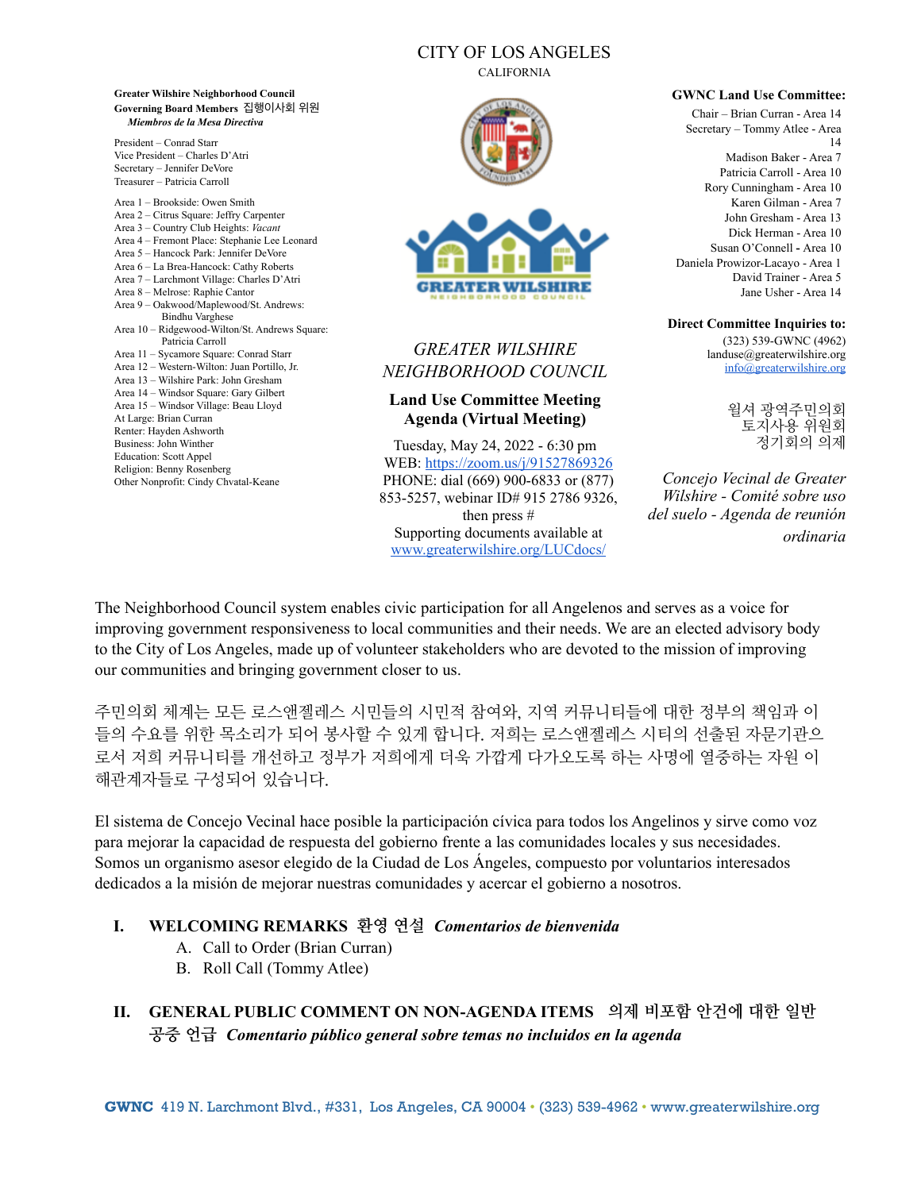## CITY OF LOS ANGELES

CALIFORNIA





# *GREATER WILSHIRE NEIGHBORHOOD COUNCIL*

#### **Land Use Committee Meeting Agenda (Virtual Meeting)**

Tuesday, May 24, 2022 - 6:30 pm WEB: <https://zoom.us/j/91527869326> PHONE: dial (669) 900-6833 or (877) 853-5257, webinar ID# 915 2786 9326, then press # Supporting documents available at

[www.greaterwilshire.org/LUCdocs/](http://www.greaterwilshire.org/LUCdocs/)

#### **GWNC Land Use Committee:**

Chair – Brian Curran - Area 14 Secretary – Tommy Atlee - Area 14 Madison Baker - Area 7 Patricia Carroll - Area 10 Rory Cunningham - Area 10 Karen Gilman - Area 7 John Gresham - Area 13 Dick Herman - Area 10 Susan O'Connell **-** Area 10 Daniela Prowizor-Lacayo - Area 1 David Trainer - Area 5 Jane Usher - Area 14

#### **Direct Committee Inquiries to:**

(323) 539-GWNC (4962) landuse@greaterwilshire.org [info@greaterwilshire.org](mailto:info@greaterwilshire.org)

> 윌셔 광역주민의회 토지사용 위원회 정기회의 의제

*Concejo Vecinal de Greater Wilshire - Comité sobre uso del suelo - Agenda de reunión ordinaria*

The Neighborhood Council system enables civic participation for all Angelenos and serves as a voice for improving government responsiveness to local communities and their needs. We are an elected advisory body to the City of Los Angeles, made up of volunteer stakeholders who are devoted to the mission of improving our communities and bringing government closer to us.

주민의회 체계는 모든 로스앤젤레스 시민들의 시민적 참여와, 지역 커뮤니티들에 대한 정부의 책임과 이 들의 수요를 위한 목소리가 되어 봉사할 수 있게 합니다. 저희는 로스앤젤레스 시티의 선출된 자문기관으 로서 저희 커뮤니티를 개선하고 정부가 저희에게 더욱 가깝게 다가오도록 하는 사명에 열중하는 자원 이 해관계자들로 구성되어 있습니다.

El sistema de Concejo Vecinal hace posible la participación cívica para todos los Angelinos y sirve como voz para mejorar la capacidad de respuesta del gobierno frente a las comunidades locales y sus necesidades. Somos un organismo asesor elegido de la Ciudad de Los Ángeles, compuesto por voluntarios interesados dedicados a la misión de mejorar nuestras comunidades y acercar el gobierno a nosotros.

#### **I. WELCOMING REMARKS 환영 연설** *Comentarios de bienvenida*

- A. Call to Order (Brian Curran)
- B. Roll Call (Tommy Atlee)

**Greater Wilshire Neighborhood Council Governing Board Members** 집행이사회 위원 *Miembros de la Mesa Directiva*

President – Conrad Starr Vice President – Charles D'Atri Secretary – Jennifer DeVore Treasurer – Patricia Carroll Area 1 – Brookside: Owen Smith Area 2 – Citrus Square: Jeffry Carpenter Area 3 – Country Club Heights: *Vacant* Area 4 – Fremont Place: Stephanie Lee Leonard Area 5 – Hancock Park: Jennifer DeVore Area 6 – La Brea-Hancock: Cathy Roberts Area 7 – Larchmont Village: Charles D'Atri Area 8 – Melrose: Raphie Cantor Area 9 – Oakwood/Maplewood/St. Andrews: Bindhu Varghese Area 10 – Ridgewood-Wilton/St. Andrews Square: Patricia Carroll Area 11 – Sycamore Square: Conrad Starr Area 12 – Western-Wilton: Juan Portillo, Jr. Area 13 – Wilshire Park: John Gresham Area 14 – Windsor Square: Gary Gilbert Area 15 – Windsor Village: Beau Lloyd

At Large: Brian Curran Renter: Hayden Ashworth Business: John Winther Education: Scott Appel Religion: Benny Rosenberg Other Nonprofit: Cindy Chvatal-Keane

### **II. GENERAL PUBLIC COMMENT ON NON-AGENDA ITEMS 의제 비포함 안건에 대한 일반 공중 언급** *Comentario público general sobre temas no incluidos en la agenda*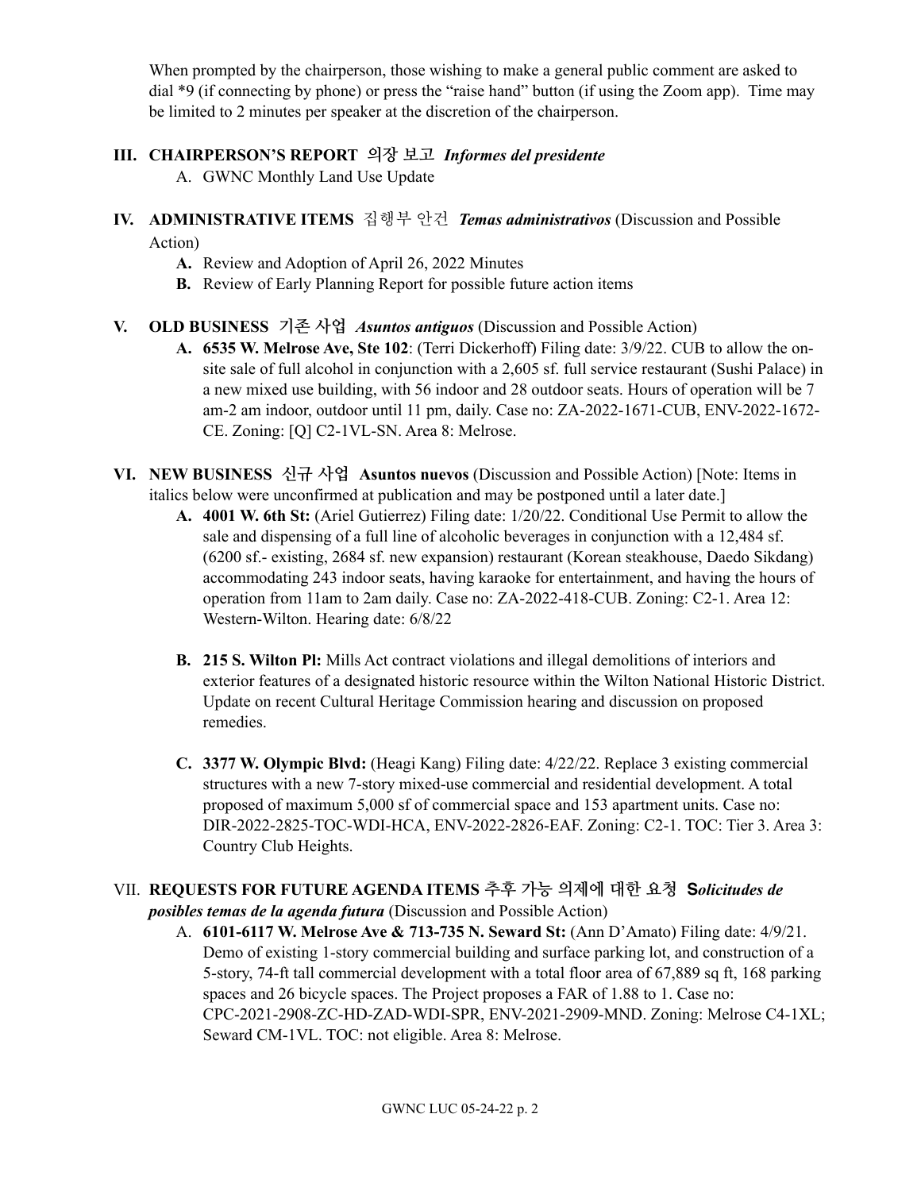When prompted by the chairperson, those wishing to make a general public comment are asked to dial \*9 (if connecting by phone) or press the "raise hand" button (if using the Zoom app). Time may be limited to 2 minutes per speaker at the discretion of the chairperson.

## **III. CHAIRPERSON'S REPORT 의장 보고** *Informes del presidente*

A. GWNC Monthly Land Use Update

- **IV. ADMINISTRATIVE ITEMS** 집행부 안건*Temas administrativos* (Discussion and Possible Action)
	- **A.** Review and Adoption of April 26, 2022 Minutes
	- **B.** Review of Early Planning Report for possible future action items
- **V. OLD BUSINESS 기존 사업** *Asuntos antiguos* (Discussion and Possible Action)
	- **A. 6535 W. Melrose Ave, Ste 102**: (Terri Dickerhoff) Filing date: 3/9/22. CUB to allow the onsite sale of full alcohol in conjunction with a 2,605 sf. full service restaurant (Sushi Palace) in a new mixed use building, with 56 indoor and 28 outdoor seats. Hours of operation will be 7 am-2 am indoor, outdoor until 11 pm, daily. Case no: ZA-2022-1671-CUB, ENV-2022-1672- CE. Zoning: [Q] C2-1VL-SN. Area 8: Melrose.
- **VI. NEW BUSINESS 신규 사업 Asuntos nuevos** (Discussion and Possible Action) [Note: Items in italics below were unconfirmed at publication and may be postponed until a later date.]
	- **A. 4001 W. 6th St:** (Ariel Gutierrez) Filing date: 1/20/22. Conditional Use Permit to allow the sale and dispensing of a full line of alcoholic beverages in conjunction with a 12,484 sf. (6200 sf.- existing, 2684 sf. new expansion) restaurant (Korean steakhouse, Daedo Sikdang) accommodating 243 indoor seats, having karaoke for entertainment, and having the hours of operation from 11am to 2am daily. Case no: ZA-2022-418-CUB. Zoning: C2-1. Area 12: Western-Wilton. Hearing date: 6/8/22
	- **B. 215 S. Wilton Pl:** Mills Act contract violations and illegal demolitions of interiors and exterior features of a designated historic resource within the Wilton National Historic District. Update on recent Cultural Heritage Commission hearing and discussion on proposed remedies.
	- **C. 3377 W. Olympic Blvd:** (Heagi Kang) Filing date: 4/22/22. Replace 3 existing commercial structures with a new 7-story mixed-use commercial and residential development. A total proposed of maximum 5,000 sf of commercial space and 153 apartment units. Case no: DIR-2022-2825-TOC-WDI-HCA, ENV-2022-2826-EAF. Zoning: C2-1. TOC: Tier 3. Area 3: Country Club Heights.

#### VII. **REQUESTS FOR FUTURE AGENDA ITEMS 추후 가능 의제에 대한 요청 S***olicitudes de posibles temas de la agenda futura* (Discussion and Possible Action)

A. **6101-6117 W. Melrose Ave & 713-735 N. Seward St:** (Ann D'Amato) Filing date: 4/9/21. Demo of existing 1-story commercial building and surface parking lot, and construction of a 5-story, 74-ft tall commercial development with a total floor area of 67,889 sq ft, 168 parking spaces and 26 bicycle spaces. The Project proposes a FAR of 1.88 to 1. Case no: CPC-2021-2908-ZC-HD-ZAD-WDI-SPR, ENV-2021-2909-MND. Zoning: Melrose C4-1XL; Seward CM-1VL. TOC: not eligible. Area 8: Melrose.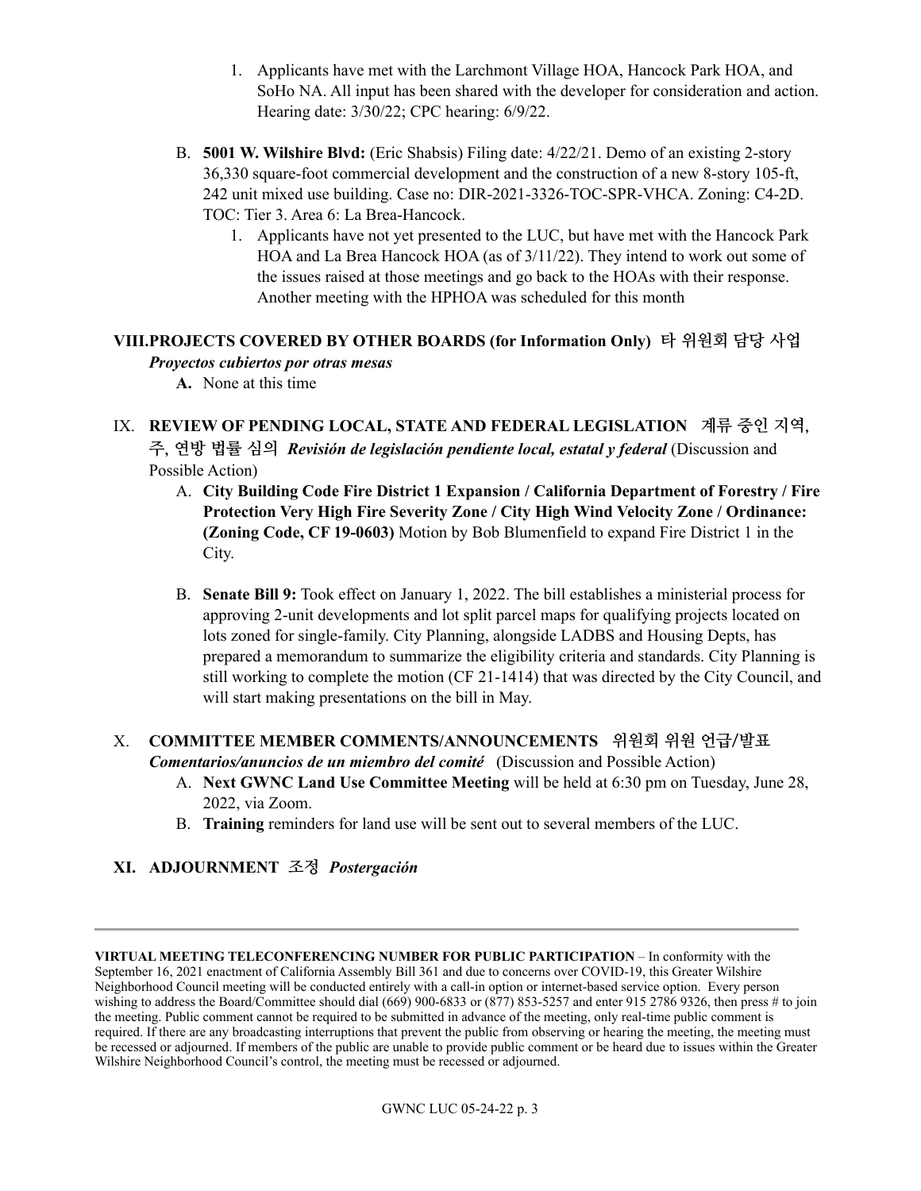- 1. Applicants have met with the Larchmont Village HOA, Hancock Park HOA, and SoHo NA. All input has been shared with the developer for consideration and action. Hearing date: 3/30/22; CPC hearing: 6/9/22.
- B. **5001 W. Wilshire Blvd:** (Eric Shabsis) Filing date: 4/22/21. Demo of an existing 2-story 36,330 square-foot commercial development and the construction of a new 8-story 105-ft, 242 unit mixed use building. Case no: DIR-2021-3326-TOC-SPR-VHCA. Zoning: C4-2D. TOC: Tier 3. Area 6: La Brea-Hancock.
	- 1. Applicants have not yet presented to the LUC, but have met with the Hancock Park HOA and La Brea Hancock HOA (as of 3/11/22). They intend to work out some of the issues raised at those meetings and go back to the HOAs with their response. Another meeting with the HPHOA was scheduled for this month

#### **VIII.PROJECTS COVERED BY OTHER BOARDS (for Information Only) 타 위원회 담당 사업**  *Proyectos cubiertos por otras mesas*

- **A.** None at this time
- IX. **REVIEW OF PENDING LOCAL, STATE AND FEDERAL LEGISLATION 계류 중인 지역, 주, 연방 법률 심의** *Revisión de legislación pendiente local, estatal y federal* (Discussion and Possible Action)
	- A. **City Building Code Fire District 1 Expansion / California Department of Forestry / Fire Protection Very High Fire Severity Zone / City High Wind Velocity Zone / Ordinance: (Zoning Code, CF 19-0603)** Motion by Bob Blumenfield to expand Fire District 1 in the City.
	- B. **Senate Bill 9:** Took effect on January 1, 2022. The bill establishes a ministerial process for approving 2-unit developments and lot split parcel maps for qualifying projects located on lots zoned for single-family. City Planning, alongside LADBS and Housing Depts, has prepared a memorandum to summarize the eligibility criteria and standards. City Planning is still working to complete the motion (CF 21-1414) that was directed by the City Council, and will start making presentations on the bill in May.

#### X. **COMMITTEE MEMBER COMMENTS/ANNOUNCEMENTS 위원회 위원 언급/발표**  *Comentarios/anuncios de un miembro del comité* (Discussion and Possible Action)

- A. **Next GWNC Land Use Committee Meeting** will be held at 6:30 pm on Tuesday, June 28, 2022, via Zoom.
- B. **Training** reminders for land use will be sent out to several members of the LUC.

#### **XI. ADJOURNMENT 조정** *Postergación*

**VIRTUAL MEETING TELECONFERENCING NUMBER FOR PUBLIC PARTICIPATION** – In conformity with the September 16, 2021 enactment of California Assembly Bill 361 and due to concerns over COVID-19, this Greater Wilshire Neighborhood Council meeting will be conducted entirely with a call-in option or internet-based service option. Every person wishing to address the Board/Committee should dial  $(669)$  900-6833 or  $(877)$  853-5257 and enter 915 2786 9326, then press # to join the meeting. Public comment cannot be required to be submitted in advance of the meeting, only real-time public comment is required. If there are any broadcasting interruptions that prevent the public from observing or hearing the meeting, the meeting must be recessed or adjourned. If members of the public are unable to provide public comment or be heard due to issues within the Greater Wilshire Neighborhood Council's control, the meeting must be recessed or adjourned.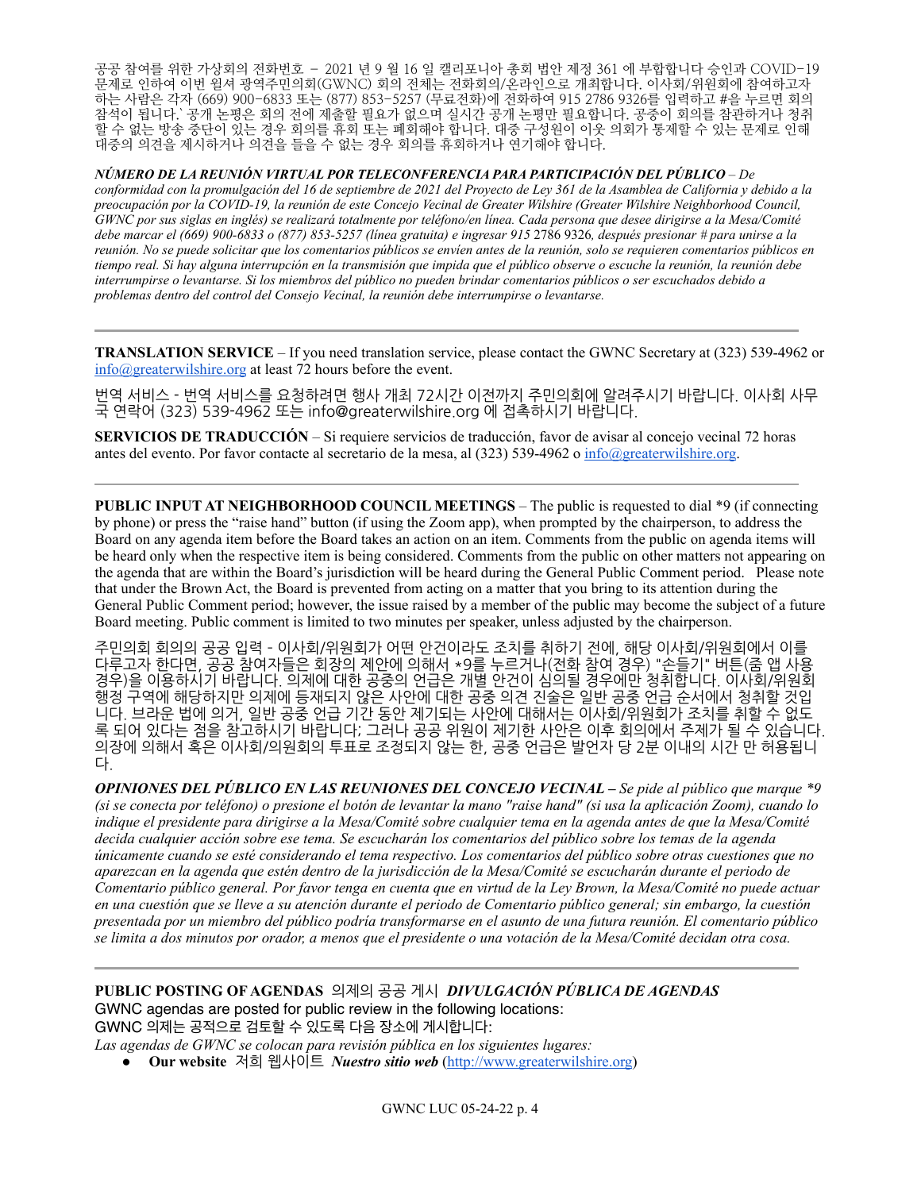공공 참여를 위한 가상회의 전화번호 – 2021 년 9 월 16 일 캘리포니아 총회 법안 제정 361 에 부합합니다 승인과 COVID-19 문제로 인하여 이번 윌셔 광역주민의회(GWNC) 회의 전체는 전화회의/온라인으로 개최합니다. 이사회/위원회에 참여하고자 하는 사람은 각자 (669) 900-6833 또는 (877) 853-5257 (무료전화)에 전화하여 915 2786 9326를 입력하고 #을 누르면 회의 참석이 됩니다.` 공개 논평은 회의 전에 제출할 필요가 없으며 실시간 공개 논평만 필요합니다. 공중이 회의를 참관하거나 청취 할 수 없는 방송 중단이 있는 경우 회의를 휴회 또는 폐회해야 합니다. 대중 구성원이 이웃 의회가 통제할 수 있는 문제로 인해 대중의 의견을 제시하거나 의견을 들을 수 없는 경우 회의를 휴회하거나 연기해야 합니다.

*NÚMERO DE LA REUNIÓN VIRTUAL POR TELECONFERENCIA PARA PARTICIPACIÓN DEL PÚBLICO* – *De conformidad con la promulgación del 16 de septiembre de 2021 del Proyecto de Ley 361 de la Asamblea de California y debido a la preocupación por la COVID-19, la reunión de este Concejo Vecinal de Greater Wilshire (Greater Wilshire Neighborhood Council, GWNC por sus siglas en inglés) se realizará totalmente por teléfono/en línea. Cada persona que desee dirigirse a la Mesa/Comité debe marcar el (669) 900-6833 o (877) 853-5257 (línea gratuita) e ingresar 915* 2786 9326*, después presionar # para unirse a la reunión. No se puede solicitar que los comentarios públicos se envíen antes de la reunión, solo se requieren comentarios públicos en tiempo real. Si hay alguna interrupción en la transmisión que impida que el público observe o escuche la reunión, la reunión debe interrumpirse o levantarse. Si los miembros del público no pueden brindar comentarios públicos o ser escuchados debido a problemas dentro del control del Consejo Vecinal, la reunión debe interrumpirse o levantarse.*

**TRANSLATION SERVICE** – If you need translation service, please contact the GWNC Secretary at (323) 539-4962 or [info@greaterwilshire.org](mailto:info@greaterwilshire.org) at least 72 hours before the event.

번역 서비스 - 번역 서비스를 요청하려면 행사 개최 72시간 이전까지 주민의회에 알려주시기 바랍니다. 이사회 사무 국 연락어 (323) 539-4962 또는 [info@greaterwilshire.org](mailto:info@greaterwilshire.org) 에 접촉하시기 바랍니다.

**SERVICIOS DE TRADUCCIÓN** – S[i requiere servicios de traducción, favor de avisar al concejo vecinal 72 horas](http://www.greaterwilshire.org/)  [antes del evento. Por favor contacte al secretario de la mesa, al \(323\) 539-4962 o](http://www.greaterwilshire.org/) [info@greaterwilshire.org](mailto:info@greaterwilshire.org)[.](http://www.greaterwilshire.org/)

**PUBLIC INPUT AT NEIGHBORHOOD COUNCIL MEETINGS** – The public is requested to dial \*9 (if connecting by phone) or press the "raise hand" button (if using the Zoom app), when prompted by the chairperson, to address the Board on any agenda item before the Board takes an action on an item. Comments from the public on agenda items will be heard only when the respective item is being considered. Comments from the public on other matters not appearing on the agenda that are within the Board's jurisdiction will be heard during the General Public Comment period. Please note that under the Brown Act, the Board is prevented from acting on a matter that you bring to its attention during the General Public Comment period; however, the issue raised by a member of the public may become the subject of a future Board meeting. Public comment is limited to two minutes per speaker, unless adjusted by the chairperson.

주민의회 회의의 공공 입력 - 이사회/위원회가 어떤 안건이라도 조치를 취하기 전에, 해당 이사회/위원회에서 이를 다루고자 한다면, 공공 참여자들은 회장의 제안에 의해서 \*9를 누르거나(전화 참여 경우) "손들기" 버튼(줌 앱 사용 경우)을 이용하시기 바랍니다. 의제에 대한 공중의 언급은 개별 안건이 심의될 경우에만 청취합니다. 이사회/위원회 행정 구역에 해당하지만 의제에 등재되지 않은 사안에 대한 공중 의견 진술은 일반 공중 언급 순서에서 청취할 것입 니다. 브라운 법에 의거, 일반 공중 언급 기간 동안 제기되는 사안에 대해서는 이사회/위원회가 조치를 취할 수 없도 록 되어 있다는 점을 참고하시기 바랍니다; 그러나 공공 위원이 제기한 사안은 이후 회의에서 주제가 될 수 있습니다. 의장에 의해서 혹은 이사회/의원회의 투표로 조정되지 않는 한, 공중 언급은 발언자 당 2분 이내의 시간 만 허용됩니 다.

*OPINIONES DEL PÚBLICO EN LAS REUNIONES DEL CONCEJO VECINAL – Se pide al público que marque \*9 (si se conecta por teléfono) o presione el botón de levantar la mano "raise hand" (si usa la aplicación Zoom), cuando lo indique el presidente para dirigirse a la Mesa/Comité sobre cualquier tema en la agenda antes de que la Mesa/Comité decida cualquier acción sobre ese tema. Se escucharán los comentarios del público sobre los temas de la agenda únicamente cuando se esté considerando el tema respectivo. Los comentarios del público sobre otras cuestiones que no aparezcan en la agenda que estén dentro de la jurisdicción de la Mesa/Comité se escucharán durante el periodo de Comentario público general. Por favor tenga en cuenta que en virtud de la Ley Brown, la Mesa/Comité no puede actuar en una cuestión que se lleve a su atención durante el periodo de Comentario público general; sin embargo, la cuestión presentada por un miembro del público podría transformarse en el asunto de una futura reunión. El comentario público se limita a dos minutos por orador, a menos que el presidente o una votación de la Mesa/Comité decidan otra cosa.*

**PUBLIC POSTING OF AGENDAS** 의제의공공게시 *DIVULGACIÓN PÚBLICA DE AGENDAS*  GWNC agendas are posted for public review in the following locations: GWNC 의제는 공적으로 검토할 수 있도록 다음 장소에 게시합니다:

*Las agendas de GWNC se colocan para revisión pública en los siguientes lugares:*

• Our website 저희 웹사이트 *Nuestro sitio web* ([http://www.greaterwilshire.org\)](http://www.greaterwilshire.org)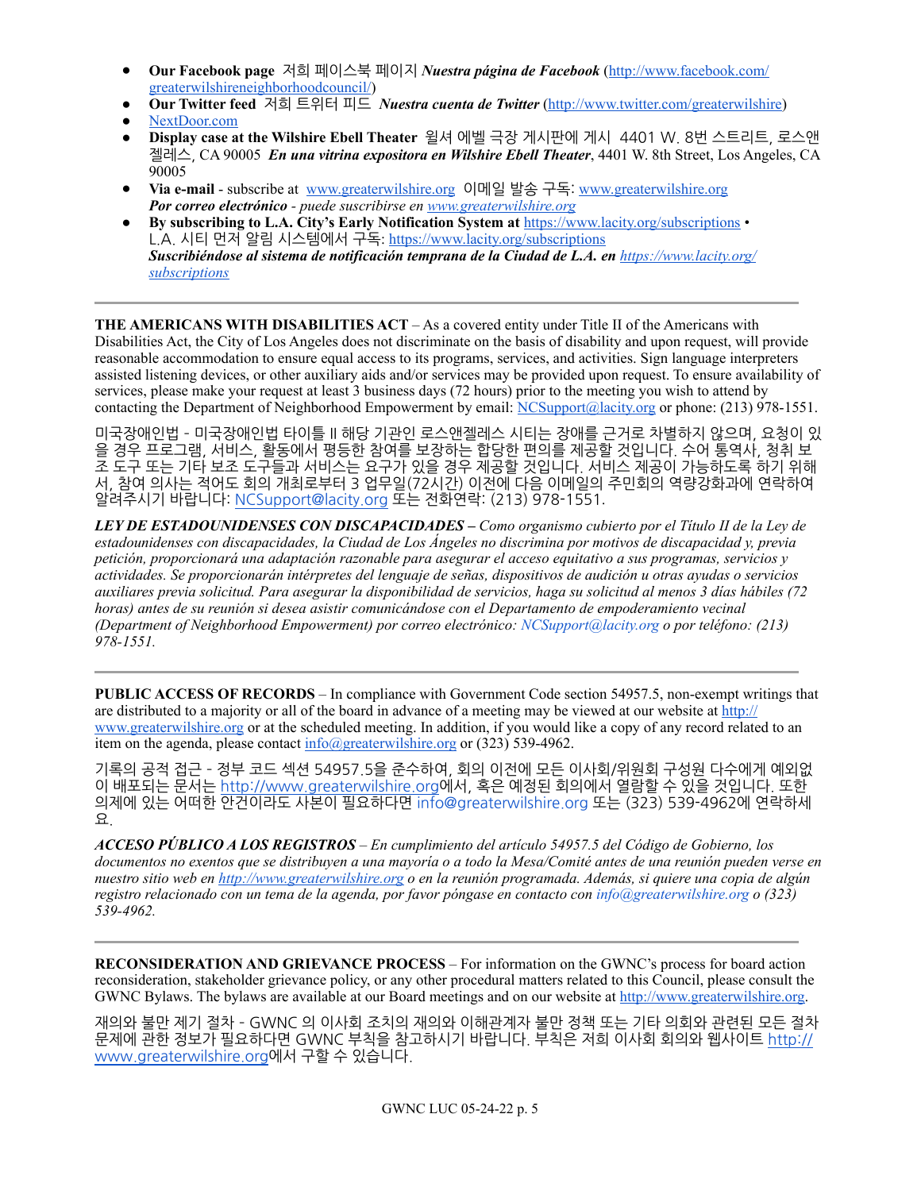- **Our Facebook page** 저희페이스북페이지 *Nuestra página de Facebook* ([http://www.facebook.com/](http://www.facebook.com/greaterwilshireneighborhoodcouncil) [greaterwilshireneighborhoodcouncil/\)](http://www.facebook.com/greaterwilshireneighborhoodcouncil)
- **Our Twitter feed 저희 트위터 피드** *Nuestra cuenta de Twitter* **([http://www.twitter.com/greaterwilshire\)](http://www.twitter.com/greaterwilshire)**
- [NextDoor.com](https://nextdoor.com/)
- **Display case at the Wilshire Ebell Theater** 윌셔에벨극장게시판에게시4401W.8번스트리트,로스앤 젤레스, CA 90005 *En una vitrina expositora en Wilshire Ebell Theater*, 4401 W. 8th Street, Los Angeles, CA 90005
- **Via e-mail** subscribe at [www.greaterwilshire.org](http://www.greaterwilshire.org) 이메일발송구독: [www.greaterwilshire.org](http://www.greaterwilshire.org) *Por correo electrónico - puede suscribirse en [www.greaterwilshire.org](http://www.greaterwilshire.org)*
- **By subscribing to L.A. City's Early Notification System at** <https://www.lacity.org/subscriptions> L.A.시티먼저알림시스템에서구독: <https://www.lacity.org/subscriptions> *Suscribiéndose al sistema de notificación temprana de la Ciudad de L.A. en [https://www.lacity.org/](https://www.lacity.org/subscriptions) [subscriptions](https://www.lacity.org/subscriptions)*

**THE AMERICANS WITH DISABILITIES ACT** – As a covered entity under Title II of the Americans with Disabilities Act, the City of Los Angeles does not discriminate on the basis of disability and upon request, will provide reasonable accommodation to ensure equal access to its programs, services, and activities. Sign language interpreters assisted listening devices, or other auxiliary aids and/or services may be provided upon request. To ensure availability of services, please make your request at least 3 business days (72 hours) prior to the meeting you wish to attend by contacting the Department of Neighborhood Empowerment by email: [NCSupport@lacity.org](mailto:NCSupport@lacity.org) or phone: (213) 978-1551.

미국장애인법 - 미국장애인법 타이틀 II 해당 기관인 로스앤젤레스 시티는 장애를 근거로 차별하지 않으며, 요청이 있 을 경우 프로그램, 서비스, 활동에서 평등한 참여를 보장하는 합당한 편의를 제공할 것입니다. 수어 통역사, 청취 보 조 도구 또는 기타 보조 도구들과 서비스는 요구가 있을 경우 제공할 것입니다. 서비스 제공이 가능하도록 하기 위해 서, 참여 의사는 적어도 회의 개최로부터 3 업무일(72시간) 이전에 다음 이메일의 주민회의 역량강화과에 연락하여 알려주시기바랍니다:[NCSupport@lacity.org](mailto:NCSupport@lacity.org) 또는전화연락:(213)978-1551.

*LEY DE ESTADOUNIDENSES CON DISCAPACIDADES – Como organismo cubierto por el Título II de la Ley de estadounidenses con discapacidades, la Ciudad de Los Ángeles no discrimina por motivos de discapacidad y, previa petición, proporcionará una adaptación razonable para asegurar el acceso equitativo a sus programas, servicios y actividades. Se proporcionarán intérpretes del lenguaje de señas, dispositivos de audición u otras ayudas o servicios auxiliares previa solicitud. Para asegurar la disponibilidad de servicios, haga su solicitud al menos 3 días hábiles (72 horas) antes de su reunión si desea asistir comunicándose con el Departamento de empoderamiento vecinal (Department of Neighborhood Empowerment) por correo electrónico: NCSupport@lacity.org o por teléfono: (213) 978-1551.* 

**PUBLIC ACCESS OF RECORDS** – In compliance with Government Code section 54957.5, non-exempt writings that are distributed to a majority or all of the board in advance of a meeting may be viewed at our website at [http://](http://www.greaterwilshire.org) [www.greaterwilshire.org](http://www.greaterwilshire.org) or at the scheduled meeting. In addition, if you would like a copy of any record related to an item on the agenda, please contact  $\frac{info(Q)\text{greaterwilshire.org}}{info(Q)\text{greaterwilshire.org}}$  or (323) 539-4962.

기록의 공적 접근 - 정부 코드 섹션 54957.5을 준수하여, 회의 이전에 모든 이사회/위원회 구성원 다수에게 예외없 이 배포되는 문서는 <http://www.greaterwilshire.org>에서, 혹은 예정된 회의에서 열람할 수 있을 것입니다. 또한 의제에 있는 어떠한 안건이라도 사본이 필요하다면 info@greaterwilshire.org 또는 (323) 539-4962에 연락하세 요.

*ACCESO PÚBLICO A LOS REGISTROS – En cumplimiento del artículo 54957.5 del Código de Gobierno, los documentos no exentos que se distribuyen a una mayoría o a todo la Mesa/Comité antes de una reunión pueden verse en nuestro sitio web en<http://www.greaterwilshire.org>o en la reunión programada. Además, si quiere una copia de algún registro relacionado con un tema de la agenda, por favor póngase en contacto con info@greaterwilshire.org o (323) 539-4962.* 

**RECONSIDERATION AND GRIEVANCE PROCESS** – For information on the GWNC's process for board action reconsideration, stakeholder grievance policy, or any other procedural matters related to this Council, please consult the GWNC Bylaws. The bylaws are available at our Board meetings and on our website at<http://www.greaterwilshire.org>.

재의와 불만 제기 절차 - GWNC 의 이사회 조치의 재의와 이해관계자 불만 정책 또는 기타 의회와 관련된 모든 절차 문제에 관한 정보가 필요하다면 GWNC 부칙을 참고하시기 바랍니다. 부칙은 저희 이사회 회의와 웹사이트 [http://](http://www.greaterwilshire.org) [www.greaterwilshire.org에](http://www.greaterwilshire.org)서구할수있습니다.